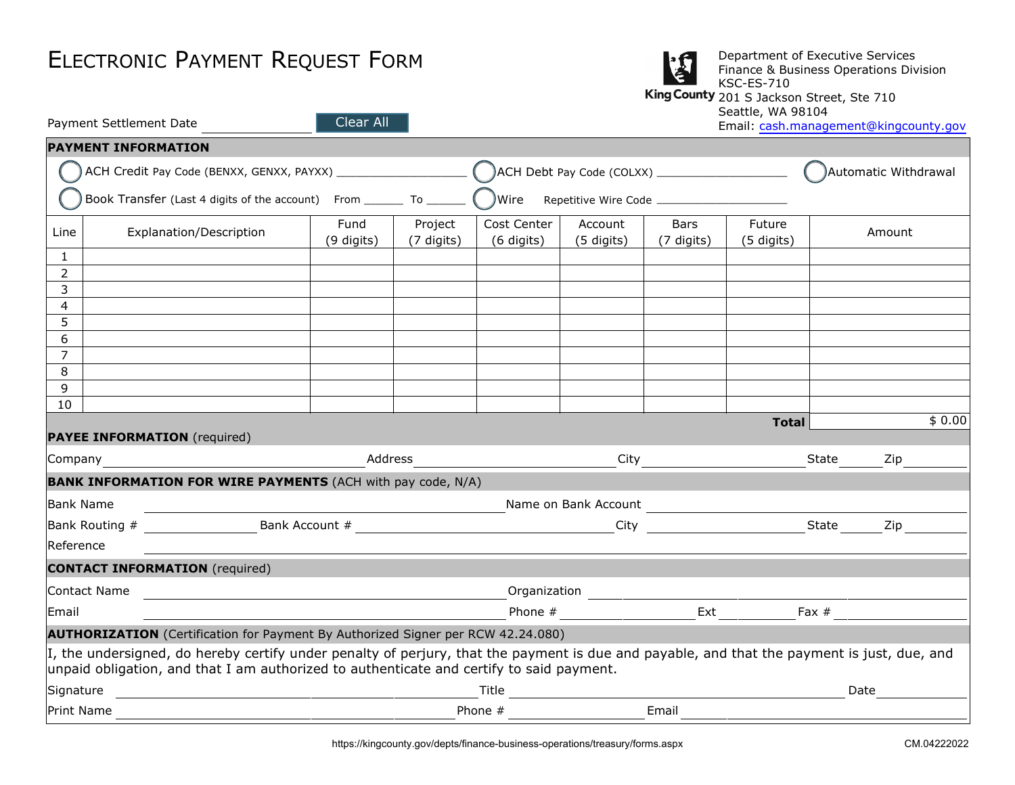| <b>ELECTRONIC PAYMENT REQUEST FORM</b> |  |  |  |
|----------------------------------------|--|--|--|
|----------------------------------------|--|--|--|

| <b>ELECTRONIC PAYMENT REQUEST FORM</b> |                                                                         |                    |                       |                           | Department of Executive Services<br>Finance & Business Operations Division<br><b>KSC-ES-710</b><br>King County 201 S Jackson Street, Ste 710<br>Seattle, WA 98104 |                           |                      |                                       |
|----------------------------------------|-------------------------------------------------------------------------|--------------------|-----------------------|---------------------------|-------------------------------------------------------------------------------------------------------------------------------------------------------------------|---------------------------|----------------------|---------------------------------------|
|                                        | Payment Settlement Date                                                 | Clear All          |                       |                           |                                                                                                                                                                   |                           |                      | Email: cash.management@kingcounty.gov |
|                                        | <b>PAYMENT INFORMATION</b>                                              |                    |                       |                           |                                                                                                                                                                   |                           |                      |                                       |
|                                        |                                                                         |                    |                       |                           |                                                                                                                                                                   |                           |                      | Automatic Withdrawal                  |
|                                        | Book Transfer (Last 4 digits of the account) From _________ To ________ |                    |                       | <b>JWire</b>              |                                                                                                                                                                   |                           |                      |                                       |
| Line                                   | Explanation/Description                                                 | Fund<br>(9 digits) | Project<br>(7 digits) | Cost Center<br>(6 digits) | Account<br>(5 digits)                                                                                                                                             | <b>Bars</b><br>(7 digits) | Future<br>(5 digits) | Amount                                |
|                                        |                                                                         |                    |                       |                           |                                                                                                                                                                   |                           |                      |                                       |
| 2                                      |                                                                         |                    |                       |                           |                                                                                                                                                                   |                           |                      |                                       |
| 3                                      |                                                                         |                    |                       |                           |                                                                                                                                                                   |                           |                      |                                       |
| 4<br>5                                 |                                                                         |                    |                       |                           |                                                                                                                                                                   |                           |                      |                                       |
| 6                                      |                                                                         |                    |                       |                           |                                                                                                                                                                   |                           |                      |                                       |
| $\overline{7}$                         |                                                                         |                    |                       |                           |                                                                                                                                                                   |                           |                      |                                       |
| 8                                      |                                                                         |                    |                       |                           |                                                                                                                                                                   |                           |                      |                                       |
| 9                                      |                                                                         |                    |                       |                           |                                                                                                                                                                   |                           |                      |                                       |
| 10                                     |                                                                         |                    |                       |                           |                                                                                                                                                                   |                           |                      |                                       |
|                                        | <b>PAYEE INFORMATION</b> (required)                                     |                    |                       |                           |                                                                                                                                                                   |                           | <b>Total</b>         | \$0.00                                |
| Company                                | <b>BANILY THEODHATTON FOR WIDE BAVIENTS (ACH with accepted AUA)</b>     |                    | Address               |                           | City                                                                                                                                                              |                           |                      | State<br>Zip                          |

|                  | <b>BANK INFORMATION FOR WIRE PAYMENTS</b> (ACH with pay code, N/A)                                                                                                                                                                      |                      |      |              |  |  |
|------------------|-----------------------------------------------------------------------------------------------------------------------------------------------------------------------------------------------------------------------------------------|----------------------|------|--------------|--|--|
| <b>Bank Name</b> |                                                                                                                                                                                                                                         | Name on Bank Account |      |              |  |  |
| Bank Routing #   | Bank Account #                                                                                                                                                                                                                          |                      | City | State<br>Zip |  |  |
| Reference        |                                                                                                                                                                                                                                         |                      |      |              |  |  |
|                  | <b>CONTACT INFORMATION</b> (required)                                                                                                                                                                                                   |                      |      |              |  |  |
| Contact Name     |                                                                                                                                                                                                                                         | Organization         |      |              |  |  |
| Email            |                                                                                                                                                                                                                                         | Phone $#$            | Ext  | Fax $#$      |  |  |
|                  | <b>AUTHORIZATION</b> (Certification for Payment By Authorized Signer per RCW 42.24.080)                                                                                                                                                 |                      |      |              |  |  |
|                  | I, the undersigned, do hereby certify under penalty of perjury, that the payment is due and payable, and that the payment is just, due, and<br>unpaid obligation, and that I am authorized to authenticate and certify to said payment. |                      |      |              |  |  |
| Signature        |                                                                                                                                                                                                                                         | Title                |      | Date         |  |  |

Print Name **Phone #** Email